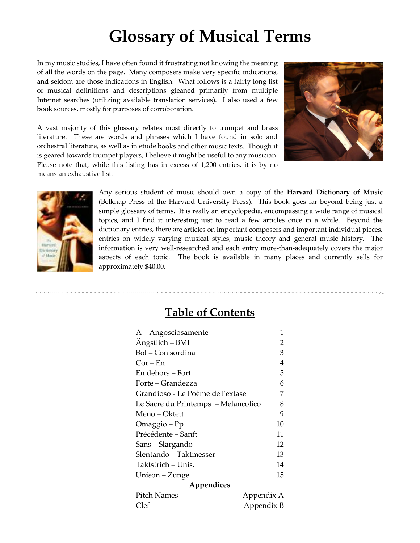In my music studies, I have often found it frustrating not knowing the meaning of all the words on the page. Many composers make very specific indications, and seldom are those indications in English. What follows is a fairly long list of musical definitions and descriptions gleaned primarily from multiple Internet searches (utilizing available translation services). I also used a few book sources, mostly for purposes of corroboration.



A vast majority of this glossary relates most directly to trumpet and brass literature. These are words and phrases which I have found in solo and orchestral literature, as well as in etude books and other music texts. Though it is geared towards trumpet players, I believe it might be useful to any musician. Please note that, while this listing has in excess of 1,200 entries, it is by no means an exhaustive list.



Any serious student of music should own a copy of the **Harvard Dictionary of Music** (Belknap Press of the Harvard University Press). This book goes far beyond being just a simple glossary of terms. It is really an encyclopedia, encompassing a wide range of musical topics, and I find it interesting just to read a few articles once in a while. Beyond the dictionary entries, there are articles on important composers and important individual pieces, entries on widely varying musical styles, music theory and general music history. The information is very well‐researched and each entry more‐than‐adequately covers the major aspects of each topic. The book is available in many places and currently sells for approximately \$40.00.

### **Table of Contents**

| A – Angosciosamente                 | 1          |
|-------------------------------------|------------|
| Angstlich – BMI                     | 2          |
| Bol – Con sordina                   | 3          |
| $Cor - En$                          | 4          |
| En dehors – Fort                    | 5          |
| Forte – Grandezza                   | 6          |
| Grandioso - Le Poème de l'extase    | 7          |
| Le Sacre du Printemps - Melancolico | 8          |
| Meno – Oktett                       | 9          |
| Omaggio – Pp                        | 10         |
| Précédente – Sanft                  | 11         |
| Sans-Slargando                      | 12         |
| Slentando - Taktmesser              | 13         |
| Taktstrich – Unis.                  | 14         |
| Unison – Zunge                      | 15         |
| Appendices                          |            |
| Pitch Names                         | Appendix A |
| Clef                                | Appendix B |
|                                     |            |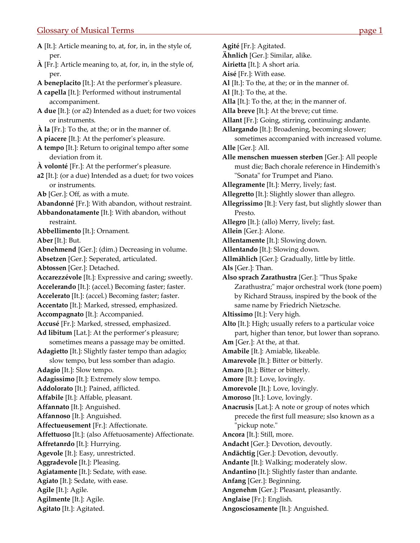<span id="page-1-0"></span>**A** [It.]: Article meaning to, at, for, in, in the style of, per. **À** [Fr.]: Article meaning to, at, for, in, in the style of, per. **A beneplacito** [It.]: At the performerʹs pleasure. **A capella** [It.]: Performed without instrumental accompaniment. **A due** [It.]: (or a2) Intended as a duet; for two voices or instruments. **À la** [Fr.]: To the, at the; or in the manner of. **A piacere** [It.]: At the perfomerʹs pleasure. **A tempo** [It.]: Return to original tempo after some deviation from it. **À volonté** [Fr.]: At the performer's pleasure. **a2** [It.]: (or a due) Intended as a duet; for two voices or instruments. **Ab** [Ger.]: Off, as with a mute. **Abandonné** [Fr.]: With abandon, without restraint. **Abbandonatamente** [It.]: With abandon, without restraint. **Abbellimento** [It.]: Ornament. **Aber** [It.]: But. **Abnehmend** [Ger.]: (dim.) Decreasing in volume. **Absetzen** [Ger.]: Seperated, articulated. **Abtossen** [Ger.]: Detached. **Accarezzévole** [It.]: Expressive and caring; sweetly. **Accelerando** [It.]: (accel.) Becoming faster; faster. **Accelerato** [It.]: (accel.) Becoming faster; faster. **Accentato** [It.]: Marked, stressed, emphasized. **Accompagnato** [It.]: Accompanied. **Accusé** [Fr.]: Marked, stressed, emphasized. **Ad libitum** [Lat.]: At the performer's pleasure; sometimes means a passage may be omitted. **Adagietto** [It.]: Slightly faster tempo than adagio; slow tempo, but less somber than adagio. **Adagio** [It.]: Slow tempo. **Adagissimo** [It.]: Extremely slow tempo. **Addolorato** [It.]: Pained, afflicted. **Affabile** [It.]: Affable, pleasant. **Affannato** [It.]: Anguished. **Affannoso** [It.]: Anguished. **Affectueusement** [Fr.]: Affectionate. **Affettuoso** [It.]: (also Affetuosamente) Affectionate. **Affretanrdo** [It.]: Hurrying. **Agevole** [It.]: Easy, unrestricted. **Aggradevole** [It.]: Pleasing. **Agiatamente** [It.]: Sedate, with ease. **Agiato** [It.]: Sedate, with ease. **Agile** [It.]: Agile. **Agilmente** [It.]: Agile. **Agitato** [It.]: Agitated.

**Agité** [Fr.]: Agitated. **Ähnlich** [Ger.]: Similar, alike. **Airietta** [It.]: A short aria. **Aisé** [Fr.]: With ease. **Al** [It.]: To the, at the; or in the manner of. **Al** [It.]: To the, at the. **Alla** [It.]: To the, at the; in the manner of. **Alla breve** [It.]: At the breve; cut time. **Allant** [Fr.]: Going, stirring, continuing; andante. **Allargando** [It.]: Broadening, becoming slower; sometimes accompanied with increased volume. **Alle** [Ger.]: All. **Alle menschen muessen sterben** [Ger.]: All people must die; Bach chorale reference in Hindemithʹs "Sonata" for Trumpet and Piano. **Allegramente** [It.]: Merry, lively; fast. **Allegretto** [It.]: Slightly slower than allegro. **Allegrissimo** [It.]: Very fast, but slightly slower than Presto. **Allegro** [It.]: (allo) Merry, lively; fast. **Allein** [Ger.]: Alone. **Allentamente** [It.]: Slowing down. **Allentando** [It.]: Slowing down. **Allmählich** [Ger.]: Gradually, little by little. **Als** [Ger.]: Than. **Also sprach Zarathustra** [Ger.]: ʺThus Spake Zarathustra;" major orchestral work (tone poem) by Richard Strauss, inspired by the book of the same name by Friedrich Nietzsche. **Altissimo** [It.]: Very high. **Alto** [It.]: High; usually refers to a particular voice part, higher than tenor, but lower than soprano. **Am** [Ger.]: At the, at that. **Amabile** [It.]: Amiable, likeable. **Amarevole** [It.]: Bitter or bitterly. **Amaro** [It.]: Bitter or bitterly. **Amore** [It.]: Love, lovingly. **Amorevole** [It.]: Love, lovingly. **Amoroso** [It.]: Love, lovingly. **Anacrusis** [Lat.]: A note or group of notes which precede the first full measure; slso known as a "pickup note." **Ancora** [It.]: Still, more. **Andacht** [Ger.]: Devotion, devoutly. **Andächtig** [Ger.]: Devotion, devoutly. **Andante** [It.]: Walking; moderately slow. **Andantino** [It.]: Slightly faster than andante. **Anfang** [Ger.]: Beginning. **Angenehm** [Ger.]: Pleasant, pleasantly. **Anglaise** [Fr.]: English. **Angosciosamente** [It.]: Anguished.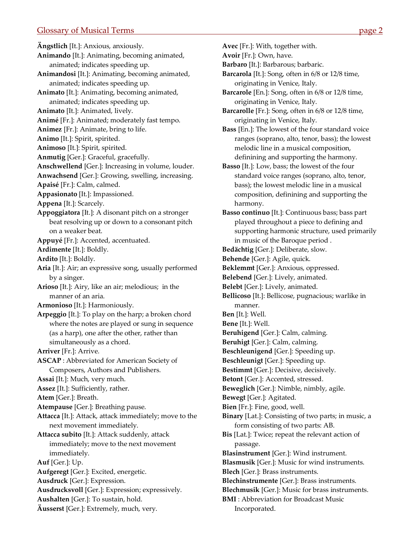<span id="page-2-0"></span>**Ängstlich** [It.]: Anxious, anxiously. **Animando** [It.]: Animating, becoming animated, animated; indicates speeding up. **Animandosi** [It.]: Animating, becoming animated, animated; indicates speeding up. **Animato** [It.]: Animating, becoming animated, animated; indicates speeding up. **Animato** [It.]: Animated, lively. **Animé** [Fr.]: Animated; moderately fast tempo. **Animez** [Fr.]: Animate, bring to life. **Animo** [It.]: Spirit, spirited. **Animoso** [It.]: Spirit, spirited. **Anmutig** [Ger.]: Graceful, gracefully. **Anschwellend** [Ger.]: Increasing in volume, louder. **Anwachsend** [Ger.]: Growing, swelling, increasing. **Apaisé** [Fr.]: Calm, calmed. **Appasionato** [It.]: Impassioned. **Appena** [It.]: Scarcely. **Appoggiatora** [It.]: A disonant pitch on a stronger beat resolving up or down to a consonant pitch on a weaker beat. **Appuyé** [Fr.]: Accented, accentuated. **Ardimente** [It.]: Boldly. **Ardito** [It.]: Boldly. **Aria** [It.]: Air; an expressive song, usually performed by a singer. **Arioso** [It.]: Airy, like an air; melodious; in the manner of an aria. **Armonioso** [It.]: Harmoniously. **Arpeggio** [It.]: To play on the harp; a broken chord where the notes are played or sung in sequence (as a harp), one after the other, rather than simultaneously as a chord. **Arriver** [Fr.]: Arrive. **ASCAP** : Abbreviated for American Society of Composers, Authors and Publishers. **Assai** [It.]: Much, very much. **Assez** [It.]: Sufficiently, rather. **Atem** [Ger.]: Breath. **Atempause** [Ger.]: Breathing pause. **Attacca** [It.]: Attack, attack immediately; move to the next movement immediately. **Attacca subito** [It.]: Attack suddenly, attack immediately; move to the next movement immediately. **Auf** [Ger.]: Up. **Aufgeregt** [Ger.]: Excited, energetic. **Ausdruck** [Ger.]: Expression. **Ausdrucksvoll** [Ger.]: Expression; expressively. **Aushalten** [Ger.]: To sustain, hold.

**Äusserst** [Ger.]: Extremely, much, very.

**Avoir** [Fr.]: Own, have.

**Barbaro** [It.]: Barbarous; barbaric.

- **Barcarola** [It.]: Song, often in 6/8 or 12/8 time, originating in Venice, Italy.
- **Barcarole** [En.]: Song, often in 6/8 or 12/8 time, originating in Venice, Italy.
- **Barcarolle** [Fr.]: Song, often in 6/8 or 12/8 time, originating in Venice, Italy.
- **Bass** [En.]: The lowest of the four standard voice ranges (soprano, alto, tenor, bass); the lowest melodic line in a musical composition, definining and supporting the harmony.
- **Basso** [It.]: Low, bass; the lowest of the four standard voice ranges (soprano, alto, tenor, bass); the lowest melodic line in a musical composition, definining and supporting the harmony.
- **Basso continuo** [It.]: Continuous bass; bass part played throughout a piece to defining and supporting harmonic structure, used primarily in music of the Baroque period .
- **Bedächtig** [Ger.]: Deliberate, slow.
- **Behende** [Ger.]: Agile, quick.
- **Beklemmt** [Ger.]: Anxious, oppressed.
- **Belebend** [Ger.]: Lively, animated.
- **Belebt** [Ger.]: Lively, animated.
- **Bellicoso** [It.]: Bellicose, pugnacious; warlike in manner.
- **Ben** [It.]: Well.
- **Bene** [It.]: Well.
- **Beruhigend** [Ger.]: Calm, calming.
- **Beruhigt** [Ger.]: Calm, calming.
- **Beschleunigend** [Ger.]: Speeding up.
- **Beschleunigt** [Ger.]: Speeding up.
- **Bestimmt** [Ger.]: Decisive, decisively.
- **Betont** [Ger.]: Accented, stressed.
- **Beweglich** [Ger.]: Nimble, nimbly, agile.
- **Bewegt** [Ger.]: Agitated.
- **Bien** [Fr.]: Fine, good, well.
- **Binary** [Lat.]: Consisting of two parts; in music, a form consisting of two parts: AB.
- **Bis** [Lat.]: Twice; repeat the relevant action of passage.
- **Blasinstrument** [Ger.]: Wind instrument.
- **Blasmusik** [Ger.]: Music for wind instruments.
- **Blech** [Ger.]: Brass instruments.
- **Blechinstrumente** [Ger.]: Brass instruments.
- **Blechmusik** [Ger.]: Music for brass instruments.
- **BMI** : Abbreviation for Broadcast Music Incorporated.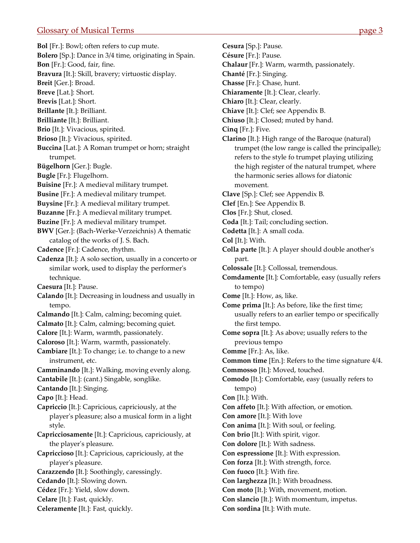<span id="page-3-0"></span>**Bol** [Fr.]: Bowl; often refers to cup mute. **Bolero** [Sp.]: Dance in 3/4 time, originating in Spain. **Bon** [Fr.]: Good, fair, fine. **Bravura** [It.]: Skill, bravery; virtuostic display. **Breit** [Ger.]: Broad. **Breve** [Lat.]: Short. **Brevis** [Lat.]: Short. **Brillante** [It.]: Brilliant. **Brilliante** [It.]: Brilliant. **Brio** [It.]: Vivacious, spirited. **Brioso** [It.]: Vivacious, spirited. **Buccina** [Lat.]: A Roman trumpet or horn; straight trumpet. **Bügelhorn** [Ger.]: Bugle. **Bugle** [Fr.]: Flugelhorn. **Buisine** [Fr.]: A medieval military trumpet. **Busine** [Fr.]: A medieval military trumpet. **Buysine** [Fr.]: A medieval military trumpet. **Buzanne** [Fr.]: A medieval military trumpet. **Buzine** [Fr.]: A medieval military trumpet. **BWV** [Ger.]: (Bach‐Werke‐Verzeichnis) A thematic catalog of the works of J. S. Bach. **Cadence** [Fr.]: Cadence, rhythm. **Cadenza** [It.]: A solo section, usually in a concerto or similar work, used to display the performer's technique. **Caesura** [It.]: Pause. **Calando** [It.]: Decreasing in loudness and usually in tempo. **Calmando** [It.]: Calm, calming; becoming quiet. **Calmato** [It.]: Calm, calming; becoming quiet. **Calore** [It.]: Warm, warmth, passionately. **Caloroso** [It.]: Warm, warmth, passionately. **Cambiare** [It.]: To change; i.e. to change to a new instrument, etc. **Camminando** [It.]: Walking, moving evenly along. **Cantabile** [It.]: (cant.) Singable, songlike. **Cantando** [It.]: Singing. **Capo** [It.]: Head. **Capriccio** [It.]: Capricious, capriciously, at the playerʹs pleasure; also a musical form in a light style. **Capricciosamente** [It.]: Capricious, capriciously, at the playerʹs pleasure. **Capriccioso** [It.]: Capricious, capriciously, at the playerʹs pleasure. **Carazzendo** [It.]: Soothingly, caressingly. **Cedando** [It.]: Slowing down. **Cédez** [Fr.]: Yield, slow down. **Celare** [It.]: Fast, quickly. **Celeramente** [It.]: Fast, quickly.

**Cesura** [Sp.]: Pause. **Césure** [Fr.]: Pause. **Chalaur** [Fr.]: Warm, warmth, passionately. **Chanté** [Fr.]: Singing. **Chasse** [Fr.]: Chase, hunt. **Chiaramente** [It.]: Clear, clearly. **Chiaro** [It.]: Clear, clearly. **Chiave** [It.]: Clef; see Appendix B. **Chiuso** [It.]: Closed; muted by hand. **Cinq** [Fr.]: Five. **Clarino** [It.]: High range of the Baroque (natural) trumpet (the low range is called the principalle); refers to the style fo trumpet playing utilizing the high register of the natural trumpet, where the harmonic series allows for diatonic movement. **Clave** [Sp.]: Clef; see Appendix B. **Clef** [En.]: See Appendix B. **Clos** [Fr.]: Shut, closed. **Coda** [It.]: Tail; concluding section. **Codetta** [It.]: A small coda. **Col** [It.]: With. **Colla parte** [It.]: A player should double anotherʹs part. **Colossale** [It.]: Collossal, tremendous. **Comdamente** [It.]: Comfortable, easy (usually refers to tempo) **Come** [It.]: How, as, like. **Come prima** [It.]: As before, like the first time; usually refers to an earlier tempo or specifically the first tempo. **Come sopra** [It.]: As above; usually refers to the previous tempo **Comme** [Fr.]: As, like. **Common time** [En.]: Refers to the time signature 4/4. **Commosso** [It.]: Moved, touched. **Comodo** [It.]: Comfortable, easy (usually refers to tempo) **Con** [It.]: With. **Con affeto** [It.]: With affection, or emotion. **Con amore** [It.]: With love **Con anima** [It.]: With soul, or feeling. **Con brio** [It.]: With spirit, vigor. **Con dolore** [It.]: With sadness. **Con espressione** [It.]: With expression. **Con forza** [It.]: With strength, force. **Con fuoco** [It.]: With fire. **Con larghezza** [It.]: With broadness. **Con moto** [It.]: With, movement, motion. **Con slancio** [It.]: With momentum, impetus. **Con sordina** [It.]: With mute.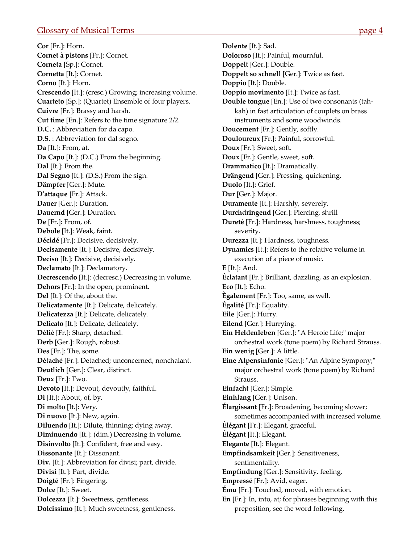<span id="page-4-0"></span>**Cor** [Fr.]: Horn. **Cornet à pistons** [Fr.]: Cornet. **Corneta** [Sp.]: Cornet. **Cornetta** [It.]: Cornet. **Corno** [It.]: Horn. **Crescendo** [It.]: (cresc.) Growing; increasing volume. **Cuarteto** [Sp.]: (Quartet) Ensemble of four players. **Cuivre** [Fr.]: Brassy and harsh. **Cut time** [En.]: Refers to the time signature 2/2. **D.C.** : Abbreviation for da capo. **D.S.** : Abbreviation for dal segno. **Da** [It.]: From, at. **Da Capo** [It.]: (D.C.) From the beginning. **Dal** [It.]: From the. **Dal Segno** [It.]: (D.S.) From the sign. **Dämpfer** [Ger.]: Mute. **Dʹattaque** [Fr.]: Attack. **Dauer** [Ger.]: Duration. **Dauernd** [Ger.]: Duration. **De** [Fr.]: From, of. **Debole** [It.]: Weak, faint. **Décidé** [Fr.]: Decisive, decisively. **Decisamente** [It.]: Decisive, decisively. **Deciso** [It.]: Decisive, decisively. **Declamato** [It.]: Declamatory. **Decrescendo** [It.]: (decresc.) Decreasing in volume. **Dehors** [Fr.]: In the open, prominent. **Del** [It.]: Of the, about the. **Delicatamente** [It.]: Delicate, delicately. **Delicatezza** [It.]: Delicate, delicately. **Delicato** [It.]: Delicate, delicately. **Délié** [Fr.]: Sharp, detached. **Derb** [Ger.]: Rough, robust. **Des** [Fr.]: The, some. **Détaché** [Fr.]: Detached; unconcerned, nonchalant. **Deutlich** [Ger.]: Clear, distinct. **Deux** [Fr.]: Two. **Devoto** [It.]: Devout, devoutly, faithful. **Di** [It.]: About, of, by. **Di molto** [It.]: Very. **Di nuovo** [It.]: New, again. **Diluendo** [It.]: Dilute, thinning; dying away. **Diminuendo** [It.]: (dim.) Decreasing in volume. **Disinvolto** [It.]: Confident, free and easy. **Dissonante** [It.]: Dissonant. **Div.** [It.]: Abbreviation for divisi; part, divide. **Divisi** [It.]: Part, divide. **Doigté** [Fr.]: Fingering. **Dolce** [It.]: Sweet. **Dolcezza** [It.]: Sweetness, gentleness. **Dolcissimo** [It.]: Much sweetness, gentleness.

**Dolente** [It.]: Sad. **Doloroso** [It.]: Painful, mournful. **Doppelt** [Ger.]: Double. **Doppelt so schnell** [Ger.]: Twice as fast. **Doppio** [It.]: Double. **Doppio movimento** [It.]: Twice as fast. **Double tongue** [En.]: Use of two consonants (tah‐ kah) in fast articulation of couplets on brass instruments and some woodwinds. **Doucement** [Fr.]: Gently, softly. **Douloureux** [Fr.]: Painful, sorrowful. **Doux** [Fr.]: Sweet, soft. **Doux** [Fr.]: Gentle, sweet, soft. **Drammatico** [It.]: Dramatically. **Drängend** [Ger.]: Pressing, quickening. **Duolo** [It.]: Grief. **Dur** [Ger.]: Major. **Duramente** [It.]: Harshly, severely. **Durchdringend** [Ger.]: Piercing, shrill **Dureté** [Fr.]: Hardness, harshness, toughness; severity. **Durezza** [It.]: Hardness, toughness. **Dynamics** [It.]: Refers to the relative volume in execution of a piece of music. **E** [It.]: And. **Éclatant** [Fr.]: Brilliant, dazzling, as an explosion. **Eco** [It.]: Echo. **Ègalement** [Fr.]: Too, same, as well. **Égalité** [Fr.]: Equality. **Eile** [Ger.]: Hurry. **Eilend** [Ger.]: Hurrying. **Ein Heldenleben** [Ger.]: "A Heroic Life;" major orchestral work (tone poem) by Richard Strauss. **Ein wenig** [Ger.]: A little. **Eine Alpensinfonie** [Ger.]: "An Alpine Sympony;" major orchestral work (tone poem) by Richard Strauss. **Einfacht** [Ger.]: Simple. **Einhlang** [Ger.]: Unison. **Élargissant** [Fr.]: Broadening, becoming slower; sometimes accompanied with increased volume. **Élégant** [Fr.]: Elegant, graceful. **Élégant** [It.]: Elegant. **Elegante** [It.]: Elegant. **Empfindsamkeit** [Ger.]: Sensitiveness, sentimentality. **Empfindung** [Ger.]: Sensitivity, feeling. **Empressé** [Fr.]: Avid, eager. **Ému** [Fr.]: Touched, moved, with emotion. **En** [Fr.]: In, into, at; for phrases beginning with this preposition, see the word following.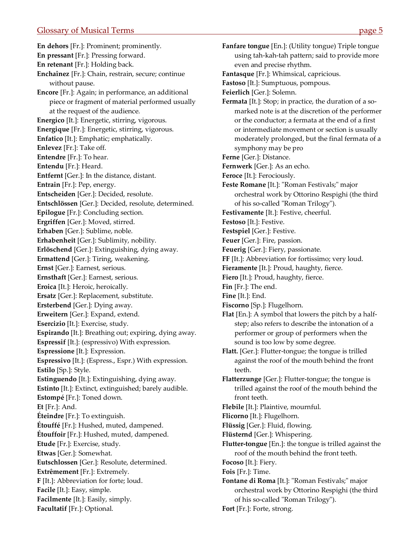<span id="page-5-0"></span>**En dehors** [Fr.]: Prominent; prominently. **En pressant** [Fr.]: Pressing forward. **En retenant** [Fr.]: Holding back. **Enchaînez** [Fr.]: Chain, restrain, secure; continue without pause. **Encore** [Fr.]: Again; in performance, an additional piece or fragment of material performed usually at the request of the audience. **Energico** [It.]: Energetic, stirring, vigorous. **Energique** [Fr.]: Energetic, stirring, vigorous. **Enfatico** [It.]: Emphatic; emphatically. **Enlevez** [Fr.]: Take off. **Entendre** [Fr.]: To hear. **Entendu** [Fr.]: Heard. **Entfernt** [Ger.]: In the distance, distant. **Entrain** [Fr.]: Pep, energy. **Entscheiden** [Ger.]: Decided, resolute. **Entschlössen** [Ger.]: Decided, resolute, determined. **Epilogue** [Fr.]: Concluding section. **Ergriffen** [Ger.]: Moved, stirred. **Erhaben** [Ger.]: Sublime, noble. **Erhabenheit** [Ger.]: Sublimity, nobility. **Erlöschend** [Ger.]: Extinguishing, dying away. **Ermattend** [Ger.]: Tiring, weakening. **Ernst** [Ger.]: Earnest, serious. **Ernsthaft** [Ger.]: Earnest, serious. **Eroica** [It.]: Heroic, heroically. **Ersatz** [Ger.]: Replacement, substitute. **Ersterbend** [Ger.]: Dying away. **Erweitern** [Ger.]: Expand, extend. **Esercizio** [It.]: Exercise, study. **Espirando** [It.]: Breathing out; expiring, dying away. **Espressif** [It.]: (espressivo) With expression. **Espressione** [It.]: Expression. **Espressivo** [It.]: (Espress., Espr.) With expression. **Estilo** [Sp.]: Style. **Estinguendo** [It.]: Extinguishing, dying away. **Estinto** [It.]: Extinct, extinguished; barely audible. **Estompé** [Fr.]: Toned down. **Et** [Fr.]: And. **Éteindre** [Fr.]: To extinguish. **Étouffé** [Fr.]: Hushed, muted, dampened. **Étouffoir** [Fr.]: Hushed, muted, dampened. **Etude** [Fr.]: Exercise, study. **Etwas** [Ger.]: Somewhat. **Eutschlossen** [Ger.]: Resolute, determined. **Extrêmement** [Fr.]: Extremely. **F** [It.]: Abbreviation for forte; loud. **Facile** [It.]: Easy, simple. **Facilmente** [It.]: Easily, simply. **Facultatif** [Fr.]: Optional.

**Fanfare tongue** [En.]: (Utility tongue) Triple tongue using tah‐kah‐tah pattern; said to provide more even and precise rhythm. **Fantasque** [Fr.]: Whimsical, capricious. **Fastoso** [It.]: Sumptuous, pompous. **Feierlich** [Ger.]: Solemn. Fermata [It.]: Stop; in practice, the duration of a somarked note is at the discretion of the performer or the conductor; a fermata at the end of a first or intermediate movement or section is usually moderately prolonged, but the final fermata of a symphony may be pro **Ferne** [Ger.]: Distance. **Fernwerk** [Ger.]: As an echo. **Feroce** [It.]: Ferociously. **Feste Romane** [It.]: "Roman Festivals;" major orchestral work by Ottorino Respighi (the third of his so-called "Roman Trilogy"). **Festivamente** [It.]: Festive, cheerful. **Festoso** [It.]: Festive. **Festspiel** [Ger.]: Festive. **Feuer** [Ger.]: Fire, passion. **Feuerig** [Ger.]: Fiery, passionate. **FF** [It.]: Abbreviation for fortissimo; very loud. **Fieramente** [It.]: Proud, haughty, fierce. **Fiero** [It.]: Proud, haughty, fierce. **Fin** [Fr.]: The end. **Fine** [It.]: End. **Fiscorno** [Sp.]: Flugelhorn. **Flat** [En.]: A symbol that lowers the pitch by a half‐ step; also refers to describe the intonation of a performer or group of performers when the sound is too low by some degree. **Flatt.** [Ger.]: Flutter‐tongue; the tongue is trilled against the roof of the mouth behind the front teeth. **Flatterzunge** [Ger.]: Flutter‐tongue; the tongue is trilled against the roof of the mouth behind the front teeth. **Flebile** [It.]: Plaintive, mournful. **Flicorno** [It.]: Flugelhorn. **Flüssig** [Ger.]: Fluid, flowing. **Flüsternd** [Ger.]: Whispering. **Flutter‐tongue** [En.]: the tongue is trilled against the roof of the mouth behind the front teeth. **Focoso** [It.]: Fiery. **Fois** [Fr.]: Time. **Fontane di Roma** [It.]: "Roman Festivals;" major orchestral work by Ottorino Respighi (the third of his so-called "Roman Trilogy"). **Fort** [Fr.]: Forte, strong.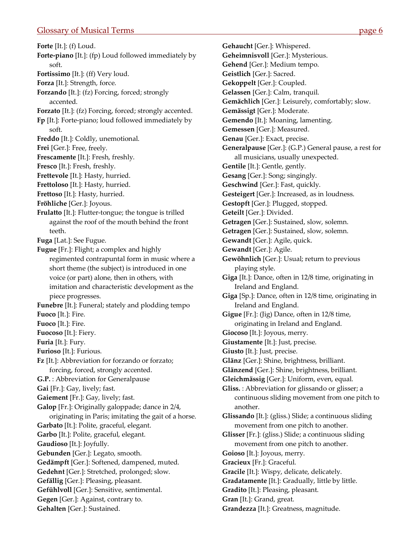<span id="page-6-0"></span>**Forte** [It.]: (f) Loud. **Forte-piano** [It.]: (fp) Loud followed immediately by soft. **Fortissimo** [It.]: (ff) Very loud. **Forza** [It.]: Strength, force. **Forzando** [It.]: (fz) Forcing, forced; strongly accented. **Forzato** [It.]: (fz) Forcing, forced; strongly accented. **Fp** [It.]: Forte‐piano; loud followed immediately by soft. **Freddo** [It.]: Coldly, unemotional. **Frei** [Ger.]: Free, freely. **Frescamente** [It.]: Fresh, freshly. **Fresco** [It.]: Fresh, freshly. **Frettevole** [It.]: Hasty, hurried. **Frettoloso** [It.]: Hasty, hurried. **Frettoso** [It.]: Hasty, hurried. **Fröhliche** [Ger.]: Joyous. **Frulatto** [It.]: Flutter-tongue; the tongue is trilled against the roof of the mouth behind the front teeth. **Fuga** [Lat.]: See Fugue. **Fugue** [Fr.]: Flight; a complex and highly regimented contrapuntal form in music where a short theme (the subject) is introduced in one voice (or part) alone, then in others, with imitation and characteristic development as the piece progresses. **Funebre** [It.]: Funeral; stately and plodding tempo **Fuoco** [It.]: Fire. **Fuoco** [It.]: Fire. **Fuocoso** [It.]: Fiery. **Furia** [It.]: Fury. **Furioso** [It.]: Furious. **Fz** [It.]: Abbreviation for forzando or forzato; forcing, forced, strongly accented. **G.P.** : Abbreviation for Generalpause **Gai** [Fr.]: Gay, lively; fast. **Gaiement** [Fr.]: Gay, lively; fast. **Galop** [Fr.]: Originally galoppade; dance in 2/4, originating in Paris; imitating the gait of a horse. **Garbato** [It.]: Polite, graceful, elegant. **Garbo** [It.]: Polite, graceful, elegant. **Gaudioso** [It.]: Joyfully. **Gebunden** [Ger.]: Legato, smooth. **Gedämpft** [Ger.]: Softened, dampened, muted. **Gedehnt** [Ger.]: Stretched, prolonged; slow. **Gefällig** [Ger.]: Pleasing, pleasant. **Gefühlvoll** [Ger.]: Sensitive, sentimental. **Gegen** [Ger.]: Against, contrary to. **Gehalten** [Ger.]: Sustained.

**Gehaucht** [Ger.]: Whispered. **Geheimnisvoll** [Ger.]: Mysterious. **Gehend** [Ger.]: Medium tempo. **Geistlich** [Ger.]: Sacred. **Gekoppelt** [Ger.]: Coupled. **Gelassen** [Ger.]: Calm, tranquil. **Gemächlich** [Ger.]: Leisurely, comfortably; slow. **Gemässigt** [Ger.]: Moderate. **Gemendo** [It.]: Moaning, lamenting. **Gemessen** [Ger.]: Measured. **Genau** [Ger.]: Exact, precise. **Generalpause** [Ger.]: (G.P.) General pause, a rest for all musicians, usually unexpected. **Gentile** [It.]: Gentle, gently. **Gesang** [Ger.]: Song; singingly. **Geschwind** [Ger.]: Fast, quickly. **Gesteigert** [Ger.]: Increased, as in loudness. **Gestopft** [Ger.]: Plugged, stopped. **Geteilt** [Ger.]: Divided. **Getragen** [Ger.]: Sustained, slow, solemn. **Getragen** [Ger.]: Sustained, slow, solemn. **Gewandt** [Ger.]: Agile, quick. **Gewandt** [Ger.]: Agile. **Gewöhnlich** [Ger.]: Usual; return to previous playing style. **Giga** [It.]: Dance, often in 12/8 time, originating in Ireland and England. **Giga** [Sp.]: Dance, often in 12/8 time, originating in Ireland and England. **Gigue** [Fr.]: (Jig) Dance, often in 12/8 time, originating in Ireland and England. **Giocoso** [It.]: Joyous, merry. **Giustamente** [It.]: Just, precise. **Giusto** [It.]: Just, precise. **Glänz** [Ger.]: Shine, brightness, brilliant. **Glänzend** [Ger.]: Shine, brightness, brilliant. **Gleichmässig** [Ger.]: Uniform, even, equal. **Gliss.** : Abbreviation for glissando or glisser; a continuous sliding movement from one pitch to another. **Glissando** [It.]: (gliss.) Slide; a continuous sliding movement from one pitch to another. **Glisser** [Fr.]: (gliss.) Slide; a continuous sliding movement from one pitch to another. **Goioso** [It.]: Joyous, merry. **Gracieux** [Fr.]: Graceful. **Gracile** [It.]: Wispy, delicate, delicately. **Gradatamente** [It.]: Gradually, little by little. **Gradito** [It.]: Pleasing, pleasant. **Gran** [It.]: Grand, great. **Grandezza** [It.]: Greatness, magnitude.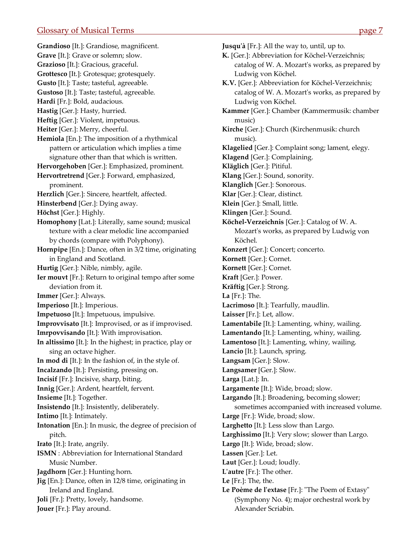<span id="page-7-0"></span>**Grandioso** [It.]: Grandiose, magnificent. **Grave** [It.]: Grave or solemn; slow. **Grazioso** [It.]: Gracious, graceful. **Grottesco** [It.]: Grotesque; grotesquely. **Gusto** [It.]: Taste; tasteful, agreeable. **Gustoso** [It.]: Taste; tasteful, agreeable. **Hardi** [Fr.]: Bold, audacious. **Hastig** [Ger.]: Hasty, hurried. **Heftig** [Ger.]: Violent, impetuous. **Heiter** [Ger.]: Merry, cheerful. **Hemiola** [En.]: The imposition of a rhythmical pattern or articulation which implies a time signature other than that which is written. **Hervorgehoben** [Ger.]: Emphasized, prominent. **Hervortretrend** [Ger.]: Forward, emphasized, prominent. **Herzlich** [Ger.]: Sincere, heartfelt, affected. **Hinsterbend** [Ger.]: Dying away. **Höchst** [Ger.]: Highly. **Homophony** [Lat.]: Literally, same sound; musical texture with a clear melodic line accompanied by chords (compare with Polyphony). **Hornpipe** [En.]: Dance, often in 3/2 time, originating in England and Scotland. **Hurtig** [Ger.]: Nible, nimbly, agile. **Ier mouvt** [Fr.]: Return to original tempo after some deviation from it. **Immer** [Ger.]: Always. **Imperioso** [It.]: Imperious. **Impetuoso** [It.]: Impetuous, impulsive. **Improvvisato** [It.]: Improvised, or as if improvised. **Imrpovvisando** [It.]: With improvisation. **In altissimo** [It.]: In the highest; in practice, play or sing an octave higher. **In mod di** [It.]: In the fashion of, in the style of. **Incalzando** [It.]: Persisting, pressing on. **Incisif** [Fr.]: Incisive, sharp, biting. **Innig** [Ger.]: Ardent, heartfelt, fervent. **Insieme** [It.]: Together. **Insistendo** [It.]: Insistently, deliberately. **Intimo** [It.]: Intimately. **Intonation** [En.]: In music, the degree of precision of pitch. **Irato** [It.]: Irate, angrily. **ISMN** : Abbreviation for International Standard Music Number. **Jagdhorn** [Ger.]: Hunting horn. **Jig** [En.]: Dance, often in 12/8 time, originating in Ireland and England. **Joli** [Fr.]: Pretty, lovely, handsome. **Jouer** [Fr.]: Play around.

**Jusquʹà** [Fr.]: All the way to, until, up to. **K.** [Ger.]: Abbreviation for Köchel‐Verzeichnis; catalog of W. A. Mozartʹs works, as prepared by Ludwig von Köchel. **K.V.** [Ger.]: Abbreviation for Köchel‐Verzeichnis; catalog of W. A. Mozart's works, as prepared by Ludwig von Köchel. **Kammer** [Ger.]: Chamber (Kammermusik: chamber music) **Kirche** [Ger.]: Church (Kirchenmusik: church music). **Klagelied** [Ger.]: Complaint song; lament, elegy. **Klagend** [Ger.]: Complaining. **Kläglich** [Ger.]: Pitiful. **Klang** [Ger.]: Sound, sonority. **Klanglich** [Ger.]: Sonorous. **Klar** [Ger.]: Clear, distinct. **Klein** [Ger.]: Small, little. **Klingen** [Ger.]: Sound. **Köchel‐Verzeichnis** [Ger.]: Catalog of W. A. Mozartʹs works, as prepared by Ludwig von Köchel. **Konzert** [Ger.]: Concert; concerto. **Kornett** [Ger.]: Cornet. **Kornett** [Ger.]: Cornet. **Kraft** [Ger.]: Power. **Kräftig** [Ger.]: Strong. **La** [Fr.]: The. **Lacrimoso** [It.]: Tearfully, maudlin. **Laisser** [Fr.]: Let, allow. **Lamentabile** [It.]: Lamenting, whiny, wailing. **Lamentando** [It.]: Lamenting, whiny, wailing. **Lamentoso** [It.]: Lamenting, whiny, wailing. **Lancio** [It.]: Launch, spring. **Langsam** [Ger.]: Slow. **Langsamer** [Ger.]: Slow. **Larga** [Lat.]: In. **Largamente** [It.]: Wide, broad; slow. **Largando** [It.]: Broadening, becoming slower; sometimes accompanied with increased volume. **Large** [Fr.]: Wide, broad; slow. **Larghetto** [It.]: Less slow than Largo. **Larghissimo** [It.]: Very slow; slower than Largo. **Largo** [It.]: Wide, broad; slow. **Lassen** [Ger.]: Let. **Laut** [Ger.]: Loud; loudly. **Lʹautre** [Fr.]: The other. **Le** [Fr.]: The, the. **Le Poème de lʹextase** [Fr.]: ʺThe Poem of Extasyʺ (Symphony No. 4); major orchestral work by Alexander Scriabin.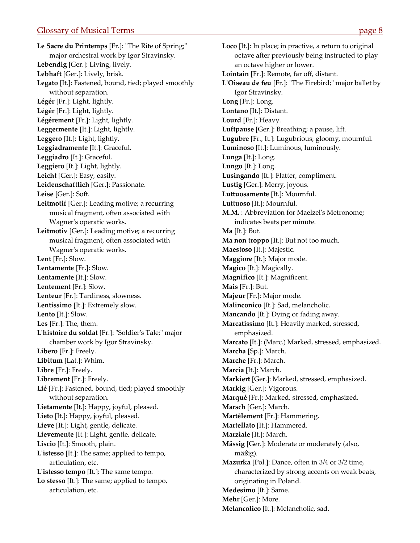<span id="page-8-0"></span>Le Sacre du Printemps [Fr.]: "The Rite of Spring;" major orchestral work by Igor Stravinsky. **Lebendig** [Ger.]: Living, lively. **Lebhaft** [Ger.]: Lively, brisk. **Legato** [It.]: Fastened, bound, tied; played smoothly without separation. **Légér** [Fr.]: Light, lightly. **Légér** [Fr.]: Light, lightly. **Légérement** [Fr.]: Light, lightly. **Leggermente** [It.]: Light, lightly. **Leggero** [It.]: Light, lightly. **Leggiadramente** [It.]: Graceful. **Leggiadro** [It.]: Graceful. **Leggiero** [It.]: Light, lightly. **Leicht** [Ger.]: Easy, easily. **Leidenschaftlich** [Ger.]: Passionate. **Leise** [Ger.]: Soft. **Leitmotif** [Ger.]: Leading motive; a recurring musical fragment, often associated with Wagnerʹs operatic works. **Leitmotiv** [Ger.]: Leading motive; a recurring musical fragment, often associated with Wagnerʹs operatic works. **Lent** [Fr.]: Slow. **Lentamente** [Fr.]: Slow. **Lentamente** [It.]: Slow. **Lentement** [Fr.]: Slow. **Lenteur** [Fr.]: Tardiness, slowness. **Lentissimo** [It.]: Extremely slow. **Lento** [It.]: Slow. **Les** [Fr.]: The, them. L'histoire du soldat [Fr.]: "Soldier's Tale;" major chamber work by Igor Stravinsky. **Libero** [Fr.]: Freely. **Libitum** [Lat.]: Whim. **Libre** [Fr.]: Freely. **Librement** [Fr.]: Freely. **Lié** [Fr.]: Fastened, bound, tied; played smoothly without separation. **Lietamente** [It.]: Happy, joyful, pleased. **Lieto** [It.]: Happy, joyful, pleased. **Lieve** [It.]: Light, gentle, delicate. **Lievemente** [It.]: Light, gentle, delicate. **Liscio** [It.]: Smooth, plain. **Lʹistesso** [It.]: The same; applied to tempo, articulation, etc. **Lʹistesso tempo** [It.]: The same tempo. **Lo stesso** [It.]: The same; applied to tempo, articulation, etc.

**Loco** [It.]: In place; in practive, a return to original octave after previously being instructed to play an octave higher or lower. **Lointain** [Fr.]: Remote, far off, distant. **LʹOiseau de feu** [Fr.]: ʺThe Firebird;ʺ major ballet by Igor Stravinsky. **Long** [Fr.]: Long. **Lontano** [It.]: Distant. **Lourd** [Fr.]: Heavy. **Luftpause** [Ger.]: Breathing; a pause, lift. **Lugubre** [Fr., It.]: Lugubrious; gloomy, mournful. **Luminoso** [It.]: Luminous, luminously. **Lunga** [It.]: Long. **Lungo** [It.]: Long. **Lusingando** [It.]: Flatter, compliment. **Lustig** [Ger.]: Merry, joyous. **Luttuosamente** [It.]: Mournful. **Luttuoso** [It.]: Mournful. **M.M.** : Abbreviation for Maelzelʹs Metronome; indicates beats per minute. **Ma** [It.]: But. **Ma non troppo** [It.]: But not too much. **Maestoso** [It.]: Majestic. **Maggiore** [It.]: Major mode. **Magico** [It.]: Magically. **Magnifico** [It.]: Magnificent. **Mais** [Fr.]: But. **Majeur** [Fr.]: Major mode. **Malinconico** [It.]: Sad, melancholic. **Mancando** [It.]: Dying or fading away. **Marcatissimo** [It.]: Heavily marked, stressed, emphasized. **Marcato** [It.]: (Marc.) Marked, stressed, emphasized. **Marcha** [Sp.]: March. **Marche** [Fr.]: March. **Marcia** [It.]: March. **Markiert** [Ger.]: Marked, stressed, emphasized. **Markig** [Ger.]: Vigorous. **Marqué** [Fr.]: Marked, stressed, emphasized. **Marsch** [Ger.]: March. **Martèlement** [Fr.]: Hammering. **Martellato** [It.]: Hammered. **Marziale** [It.]: March. **Mässig** [Ger.]: Moderate or moderately (also, mäßig). **Mazurka** [Pol.]: Dance, often in 3/4 or 3/2 time, characterized by strong accents on weak beats, originating in Poland. **Medesimo** [It.]: Same. **Mehr** [Ger.]: More. **Melancolico** [It.]: Melancholic, sad.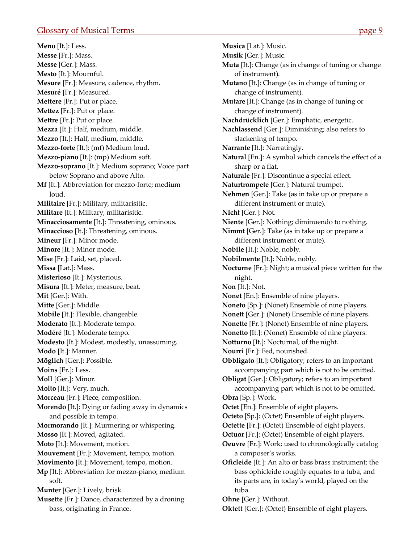<span id="page-9-0"></span>**Meno** [It.]: Less. **Messe** [Fr.]: Mass. **Messe** [Ger.]: Mass. **Mesto** [It.]: Mournful. **Mesure** [Fr.]: Measure, cadence, rhythm. **Mesuré** [Fr.]: Measured. **Mettere** [Fr.]: Put or place. **Mettez** [Fr.]: Put or place. **Mettre** [Fr.]: Put or place. **Mezza** [It.]: Half, medium, middle. **Mezzo** [It.]: Half, medium, middle. **Mezzo‐forte** [It.]: (mf) Medium loud. **Mezzo‐piano** [It.]: (mp) Medium soft. **Mezzo‐soprano** [It.]: Medium soprano; Voice part below Soprano and above Alto. **Mf** [It.]: Abbreviation for mezzo-forte; medium loud. **Militaire** [Fr.]: Military, militarisitic. **Militare** [It.]: Military, militarisitic. **Minacciosamente** [It.]: Threatening, ominous. **Minaccioso** [It.]: Threatening, ominous. **Mineur** [Fr.]: Minor mode. **Minore** [It.]: Minor mode. **Mise** [Fr.]: Laid, set, placed. **Missa** [Lat.]: Mass. **Misterioso** [It.]: Mysterious. **Misura** [It.]: Meter, measure, beat. **Mit** [Ger.]: With. **Mitte** [Ger.]: Middle. **Mobile** [It.]: Flexible, changeable. **Moderato** [It.]: Moderate tempo. **Modéré** [It.]: Moderate tempo. **Modesto** [It.]: Modest, modestly, unassuming. **Modo** [It.]: Manner. **Möglich** [Ger.]: Possible. **Moins** [Fr.]: Less. **Moll** [Ger.]: Minor. **Molto** [It.]: Very, much. **Morceau** [Fr.]: Piece, composition. **Morendo** [It.]: Dying or fading away in dynamics and possible in tempo. **Mormorando** [It.]: Murmering or whispering. **Mosso** [It.]: Moved, agitated. **Moto** [It.]: Movement, motion. **Mouvement** [Fr.]: Movement, tempo, motion. **Movimento** [It.]: Movement, tempo, motion. **Mp** [It.]: Abbreviation for mezzo-piano; medium soft. **Munter** [Ger.]: Lively, brisk. **Musette** [Fr.]: Dance, characterized by a droning bass, originating in France.

**Musica** [Lat.]: Music. **Musik** [Ger.]: Music. **Muta** [It.]: Change (as in change of tuning or change of instrument). **Mutano** [It.]: Change (as in change of tuning or change of instrument). **Mutare** [It.]: Change (as in change of tuning or change of instrument). **Nachdrücklich** [Ger.]: Emphatic, energetic. **Nachlassend** [Ger.]: Diminishing; also refers to slackening of tempo. **Narrante** [It.]: Narratingly. **Natural** [En.]: A symbol which cancels the effect of a sharp or a flat. **Naturale** [Fr.]: Discontinue a special effect. **Naturtrompete** [Ger.]: Natural trumpet. **Nehmen** [Ger.]: Take (as in take up or prepare a different instrument or mute). **Nicht** [Ger.]: Not. **Niente** [Ger.]: Nothing; diminuendo to nothing. **Nimmt** [Ger.]: Take (as in take up or prepare a different instrument or mute). **Nobile** [It.]: Noble, nobly. **Nobilmente** [It.]: Noble, nobly. **Nocturne** [Fr.]: Night; a musical piece written for the night. **Non** [It.]: Not. **Nonet** [En.]: Ensemble of nine players. **Noneto** [Sp.]: (Nonet) Ensemble of nine players. **Nonett** [Ger.]: (Nonet) Ensemble of nine players. **Nonette** [Fr.]: (Nonet) Ensemble of nine players. **Nonetto** [It.]: (Nonet) Ensemble of nine players. **Notturno** [It.]: Nocturnal, of the night. **Nourri** [Fr.]: Fed, nourished. **Obbligato** [It.]: Obligatory; refers to an important accompanying part which is not to be omitted. **Obligat** [Ger.]: Obligatory; refers to an important accompanying part which is not to be omitted. **Obra** [Sp.]: Work. **Octet** [En.]: Ensemble of eight players. **Octeto** [Sp.]: (Octet) Ensemble of eight players. **Octette** [Fr.]: (Octet) Ensemble of eight players. **Octuor** [Fr.]: (Octet) Ensemble of eight players. **Oeuvre** [Fr.]: Work; used to chronologically catalog a composer's works. **Oficleide** [It.]: An alto or bass brass instrument; the bass ophicleide roughly equates to a tuba, and its parts are, in today's world, played on the tuba. **Ohne** [Ger.]: Without.

**Oktett** [Ger.]: (Octet) Ensemble of eight players.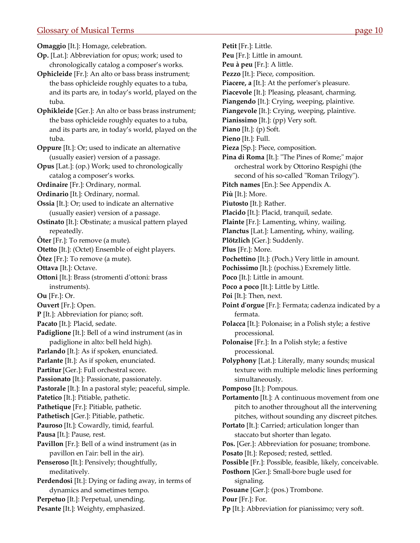<span id="page-10-0"></span>**Omaggio** [It.]: Homage, celebration.

- **Op.** [Lat.]: Abbreviation for opus; work; used to chronologically catalog a composer's works.
- **Ophicleide** [Fr.]: An alto or bass brass instrument; the bass ophicleide roughly equates to a tuba, and its parts are, in today's world, played on the tuba.
- **Ophikleide** [Ger.]: An alto or bass brass instrument; the bass ophicleide roughly equates to a tuba, and its parts are, in today's world, played on the tuba.
- **Oppure** [It.]: Or; used to indicate an alternative (usually easier) version of a passage.
- **Opus** [Lat.]: (op.) Work; used to chronologically catalog a composer's works.
- **Ordinaire** [Fr.]: Ordinary, normal.
- **Ordinario** [It.]: Ordinary, normal.
- **Ossia** [It.]: Or; used to indicate an alternative (usually easier) version of a passage.
- **Ostinato** [It.]: Obstinate; a musical pattern played repeatedly.
- **Ôter** [Fr.]: To remove (a mute).
- **Otetto** [It.]: (Octet) Ensemble of eight players.
- **Ôtez** [Fr.]: To remove (a mute).
- **Ottava** [It.]: Octave.
- **Ottoni** [It.]: Brass (stromenti d'ottoni: brass instruments).
- **Ou** [Fr.]: Or.
- **Ouvert** [Fr.]: Open.
- **P** [It.]: Abbreviation for piano; soft.
- **Pacato** [It.]: Placid, sedate.
- **Padiglione** [It.]: Bell of a wind instrument (as in padiglione in alto: bell held high).
- **Parlando** [It.]: As if spoken, enunciated.
- **Parlante** [It.]: As if spoken, enunciated.
- Partitur [Ger.]: Full orchestral score.
- **Passionato** [It.]: Passionate, passionately.
- **Pastorale** [It.]: In a pastoral style; peaceful, simple.
- **Patetico** [It.]: Pitiable, pathetic.
- **Pathetique** [Fr.]: Pitiable, pathetic.
- **Pathetisch** [Ger.]: Pitiable, pathetic.
- **Pauroso** [It.]: Cowardly, timid, fearful.
- **Pausa** [It.]: Pause, rest.
- **Pavillon** [Fr.]: Bell of a wind instrument (as in pavillon en lʹair: bell in the air).
- **Penseroso** [It.]: Pensively; thoughtfully, meditatively.
- **Perdendosi** [It.]: Dying or fading away, in terms of dynamics and sometimes tempo. **Perpetuo** [It.]: Perpetual, unending.
- **Pesante** [It.]: Weighty, emphasized.
- **Petit** [Fr.]: Little. **Peu** [Fr.]: Little in amount. **Peu à peu** [Fr.]: A little. **Pezzo** [It.]: Piece, composition. Piacere, a [It.]: At the perfomer's pleasure. **Piacevole** [It.]: Pleasing, pleasant, charming. **Piangendo** [It.]: Crying, weeping, plaintive. **Piangevole** [It.]: Crying, weeping, plaintive. **Pianissimo** [It.]: (pp) Very soft. **Piano** [It.]: (p) Soft. **Pieno** [It.]: Full. **Pieza** [Sp.]: Piece, composition. **Pina di Roma** [It.]: "The Pines of Rome;" major orchestral work by Ottorino Respighi (the second of his so-called "Roman Trilogy"). **Pitch names** [En.]: See Appendix A. **Più** [It.]: More. **Piutosto** [It.]: Rather. **Placido** [It.]: Placid, tranquil, sedate. **Plainte** [Fr.]: Lamenting, whiny, wailing. **Planctus** [Lat.]: Lamenting, whiny, wailing. **Plötzlich** [Ger.]: Suddenly. **Plus** [Fr.]: More. **Pochettino** [It.]: (Poch.) Very little in amount. **Pochissimo** [It.]: (pochiss.) Exremely little. **Poco** [It.]: Little in amount. **Poco a poco** [It.]: Little by Little. **Poi** [It.]: Then, next. **Point dʹorgue** [Fr.]: Fermata; cadenza indicated by a fermata. **Polacca** [It.]: Polonaise; in a Polish style; a festive processional. **Polonaise** [Fr.]: In a Polish style; a festive processional. **Polyphony** [Lat.]: Literally, many sounds; musical texture with multiple melodic lines performing simultaneously. **Pomposo** [It.]: Pompous. **Portamento** [It.]: A continuous movement from one pitch to another throughout all the intervening pitches, without sounding any discreet pitches. **Portato** [It.]: Carried; articulation longer than staccato but shorter than legato. **Pos.** [Ger.]: Abbreviation for posuane; trombone. **Posato** [It.]: Reposed; rested, settled. **Possible** [Fr.]: Possible, feasible, likely, conceivable. **Posthorn** [Ger.]: Small‐bore bugle used for signaling. **Posuane** [Ger.]: (pos.) Trombone. **Pour** [Fr.]: For.
- **Pp** [It.]: Abbreviation for pianissimo; very soft.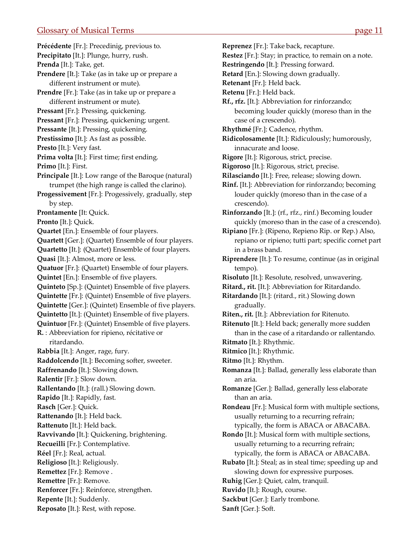<span id="page-11-0"></span>**Précédente** [Fr.]: Precedinig, previous to. **Precipitato** [It.]: Plunge, hurry, rush. **Prenda** [It.]: Take, get. **Prendere** [It.]: Take (as in take up or prepare a different instrument or mute). **Prendre** [Fr.]: Take (as in take up or prepare a different instrument or mute). **Pressant** [Fr.]: Pressing, quickening. **Pressant** [Fr.]: Pressing, quickening; urgent. **Pressante** [It.]: Pressing, quickening. **Prestissimo** [It.]: As fast as possible. **Presto** [It.]: Very fast. **Prima volta** [It.]: First time; first ending. **Primo** [It.]: First. **Principale** [It.]: Low range of the Baroque (natural) trumpet (the high range is called the clarino). **Progessivement** [Fr.]: Progessively, gradually, step by step. **Prontamente** [It: Quick. **Pronto** [It.]: Quick. **Quartet** [En.]: Ensemble of four players. **Quartett** [Ger.]: (Quartet) Ensemble of four players. **Quartetto** [It.]: (Quartet) Ensemble of four players. **Quasi** [It.]: Almost, more or less. **Quatuor** [Fr.]: (Quartet) Ensemble of four players. **Quintet** [En.]: Ensemble of five players. **Quinteto** [Sp.]: (Quintet) Ensemble of five players. **Quintette** [Fr.]: (Quintet) Ensemble of five players. **Quintette** [Ger.]: (Quintet) Ensemble of five players. **Quintetto** [It.]: (Quintet) Ensemble of five players. **Quintuor** [Fr.]: (Quintet) Ensemble of five players. **R.** : Abbreviation for ripieno, récitative or ritardando. **Rabbia** [It.]: Anger, rage, fury. **Raddolcendo** [It.]: Becoming softer, sweeter. **Raffrenando** [It.]: Slowing down. **Ralentir** [Fr.]: Slow down. **Rallentando** [It.]: (rall.) Slowing down. **Rapido** [It.]: Rapidly, fast. **Rasch** [Ger.]: Quick. **Rattenando** [It.]: Held back. **Rattenuto** [It.]: Held back. **Ravvivando** [It.]: Quickening, brightening. **Recueilli** [Fr.]: Contemplative. **Réel** [Fr.]: Real, actual. **Religioso** [It.]: Religiously. **Remettez** [Fr.]: Remove . **Remettre** [Fr.]: Remove. **Renforcer** [Fr.]: Reinforce, strengthen. **Repente** [It.]: Suddenly. **Reposato** [It.]: Rest, with repose.

**Restez** [Fr.]: Stay; in practice, to remain on a note. **Restringendo** [It.]: Pressing forward. **Retard** [En.]: Slowing down gradually. **Retenant** [Fr.]: Held back. **Retenu** [Fr.]: Held back. **Rf., rfz.** [It.]: Abbreviation for rinforzando; becoming louder quickly (moreso than in the case of a crescendo). **Rhythmé** [Fr.]: Cadence, rhythm. **Ridicolosamente** [It.]: Ridiculously; humorously, innacurate and loose. **Rigore** [It.]: Rigorous, strict, precise. **Rigoroso** [It.]: Rigorous, strict, precise. **Rilasciando** [It.]: Free, release; slowing down. **Rinf.** [It.]: Abbreviation for rinforzando; becoming louder quickly (moreso than in the case of a crescendo). **Rinforzando** [It.]: (rf., rfz., rinf.) Becoming louder quickly (moreso than in the case of a crescendo). **Ripiano** [Fr.]: (Ripeno, Repieno Rip. or Rep.) Also, repiano or ripieno; tutti part; specific cornet part in a brass band. **Riprendere** [It.]: To resume, continue (as in original tempo). **Risoluto** [It.]: Resolute, resolved, unwavering. **Ritard., rit.** [It.]: Abbreviation for Ritardando. **Ritardando** [It.]: (ritard., rit.) Slowing down gradually. **Riten., rit.** [It.]: Abbreviation for Ritenuto. **Ritenuto** [It.]: Held back; generally more sudden than in the case of a ritardando or rallentando. **Ritmato** [It.]: Rhythmic. **Ritmico** [It.]: Rhythmic. **Ritmo** [It.]: Rhythm. **Romanza** [It.]: Ballad, generally less elaborate than an aria. **Romanze** [Ger.]: Ballad, generally less elaborate than an aria. **Rondeau** [Fr.]: Musical form with multiple sections, usually returning to a recurring refrain; typically, the form is ABACA or ABACABA. **Rondo** [It.]: Musical form with multiple sections, usually returning to a recurring refrain; typically, the form is ABACA or ABACABA. **Rubato** [It.]: Steal; as in steal time; speeding up and slowing down for expressive purposes. **Ruhig** [Ger.]: Quiet, calm, tranquil. **Ruvido** [It.]: Rough, course.

**Reprenez** [Fr.]: Take back, recapture.

**Sackbut** [Ger.]: Early trombone.

**Sanft** [Ger.]: Soft.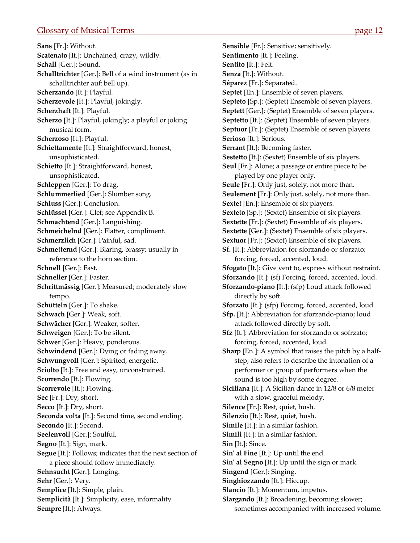<span id="page-12-0"></span>**Sans** [Fr.]: Without. **Scatenato** [It.]: Unchained, crazy, wildly. **Schall** [Ger.]: Sound. **Schalltrichter** [Ger.]: Bell of a wind instrument (as in schalltrichter auf: bell up). **Scherzando** [It.]: Playful. **Scherzevole** [It.]: Playful, jokingly. **Scherzhaft** [It.]: Playful. **Scherzo** [It.]: Playful, jokingly; a playful or joking musical form. **Scherzoso** [It.]: Playful. **Schiettamente** [It.]: Straightforward, honest, unsophisticated. **Schietto** [It.]: Straightforward, honest, unsophisticated. **Schleppen** [Ger.]: To drag. **Schlummerlied** [Ger.]: Slumber song. **Schluss** [Ger.]: Conclusion. **Schlüssel** [Ger.]: Clef; see Appendix B. **Schmachtend** [Ger.]: Languishing. **Schmeichelnd** [Ger.]: Flatter, compliment. **Schmerzlich** [Ger.]: Painful, sad. **Schmetternd** [Ger.]: Blaring, brassy; usually in reference to the horn section. **Schnell** [Ger.]: Fast. **Schneller** [Ger.]: Faster. **Schrittmässig** [Ger.]: Measured; moderately slow tempo. **Schütteln** [Ger.]: To shake. **Schwach** [Ger.]: Weak, soft. **Schwächer** [Ger.]: Weaker, softer. **Schweigen** [Ger.]: To be silent. **Schwer** [Ger.]: Heavy, ponderous. **Schwindend** [Ger.]: Dying or fading away. **Schwungvoll** [Ger.]: Spirited, energetic. **Sciolto** [It.]: Free and easy, unconstrained. **Scorrendo** [It.]: Flowing. **Scorrevole** [It.]: Flowing. **Sec** [Fr.]: Dry, short. **Secco** [It.]: Dry, short. **Seconda volta** [It.]: Second time, second ending. **Secondo** [It.]: Second. **Seelenvoll** [Ger.]: Soulful. **Segno** [It.]: Sign, mark. **Segue** [It.]: Follows; indicates that the next section of a piece should follow immediately. **Sehnsucht** [Ger.]: Longing. **Sehr** [Ger.]: Very. **Semplice** [It.]: Simple, plain. **Semplicità** [It.]: Simplicity, ease, informality. **Sempre** [It.]: Always.

**Sensible** [Fr.]: Sensitive; sensitively. **Sentimento** [It.]: Feeling. **Sentito** [It.]: Felt. **Senza** [It.]: Without. **Séparez** [Fr.]: Separated. **Septet** [En.]: Ensemble of seven players. **Septeto** [Sp.]: (Septet) Ensemble of seven players. **Septett** [Ger.]: (Septet) Ensemble of seven players. **Septetto** [It.]: (Septet) Ensemble of seven players. **Septuor** [Fr.]: (Septet) Ensemble of seven players. **Serioso** [It.]: Serious. **Serrant** [It.]: Becoming faster. **Sestetto** [It.]: (Sextet) Ensemble of six players. **Seul** [Fr.]: Alone; a passage or entire piece to be played by one player only. **Seule** [Fr.]: Only just, solely, not more than. **Seulement** [Fr.]: Only just, solely, not more than. **Sextet** [En.]: Ensemble of six players. **Sexteto** [Sp.]: (Sextet) Ensemble of six players. **Sextette** [Fr.]: (Sextet) Ensemble of six players. **Sextette** [Ger.]: (Sextet) Ensemble of six players. **Sextuor** [Fr.]: (Sextet) Ensemble of six players. **Sf.** [It.]: Abbreviation for sforzando or sforzato; forcing, forced, accented, loud. **Sfogato** [It.]: Give vent to, express without restraint. **Sforzando** [It.]: (sf) Forcing, forced, accented, loud. **Sforzando‐piano** [It.]: (sfp) Loud attack followed directly by soft. **Sforzato** [It.]: (sfp) Forcing, forced, accented, loud. **Sfp.** [It.]: Abbreviation for sforzando‐piano; loud attack followed directly by soft. **Sfz** [It.]: Abbreviation for sforzando or sofrzato; forcing, forced, accented, loud. **Sharp** [En.]: A symbol that raises the pitch by a half‐ step; also refers to describe the intonation of a performer or group of performers when the sound is too high by some degree. **Siciliana** [It.]: A Sicilian dance in 12/8 or 6/8 meter with a slow, graceful melody. **Silence** [Fr.]: Rest, quiet, hush. **Silenzio** [It.]: Rest, quiet, hush. **Simile** [It.]: In a similar fashion. **Simili** [It.]: In a similar fashion. **Sin** [It.]: Since. **Sinʹ al Fine** [It.]: Up until the end. **Sinʹ al Segno** [It.]: Up until the sign or mark. **Singend** [Ger.]: Singing. **Singhiozzando** [It.]: Hiccup. **Slancio** [It.]: Momentum, impetus. **Slargando** [It.]: Broadening, becoming slower;

sometimes accompanied with increased volume.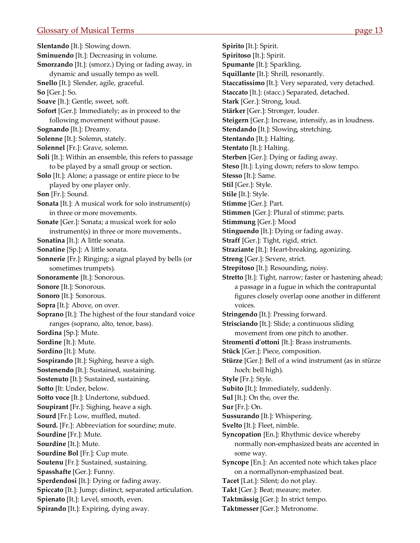<span id="page-13-0"></span>**Slentando** [It.]: Slowing down. **Sminuendo** [It.]: Decreasing in volume. **Smorzando** [It.]: (smorz.) Dying or fading away, in dynamic and usually tempo as well. **Snello** [It.]: Slender, agile, graceful. **So** [Ger.]: So. **Soave** [It.]: Gentle, sweet, soft. **Sofort** [Ger.]: Immediately; as in proceed to the following movement without pause. **Sognando** [It.]: Dreamy. **Solenne** [It.]: Solemn, stately. **Solennel** [Fr.]: Grave, solemn. **Soli** [It.]: Within an ensemble, this refers to passage to be played by a small group or section. **Solo** [It.]: Alone; a passage or entire piece to be played by one player only. **Son** [Fr.]: Sound. **Sonata** [It.]: A musical work for solo instrument(s) in three or more movements. **Sonate** [Ger.]: Sonata; a musical work for solo instrument(s) in three or more movements.. **Sonatina** [It.]: A little sonata. **Sonatine** [Sp.]: A little sonata. **Sonnerie** [Fr.]: Ringing; a signal played by bells (or sometimes trumpets). **Sonoramente** [It.]: Sonorous. **Sonore** [It.]: Sonorous. **Sonoro** [It.]: Sonorous. **Sopra** [It.]: Above, on over. **Soprano** [It.]: The highest of the four standard voice ranges (soprano, alto, tenor, bass). **Sordina** [Sp.]: Mute. **Sordine** [It.]: Mute. **Sordino** [It.]: Mute. **Sospirando** [It.]: Sighing, heave a sigh. **Sostenendo** [It.]: Sustained, sustaining. **Sostenuto** [It.]: Sustained, sustaining. **Sotto** [It: Under, below. **Sotto voce** [It.]: Undertone, subdued. **Soupirant** [Fr.]: Sighing, heave a sigh. **Sourd** [Fr.]: Low, muffled, muted. **Sourd.** [Fr.]: Abbreviation for sourdine; mute. **Sourdine** [Fr.]: Mute. **Sourdine** [It.]: Mute. **Sourdine Bol** [Fr.]: Cup mute. **Soutenu** [Fr.]: Sustained, sustaining. **Spasshafte** [Ger.]: Funny. **Sperdendosi** [It.]: Dying or fading away. **Spiccato** [It.]: Jump; distinct, separated articulation. **Spienato** [It.]: Level, smooth, even. **Spirando** [It.]: Expiring, dying away.

**Spirito** [It.]: Spirit. **Spiritoso** [It.]: Spirit. **Spumante** [It.]: Sparkling. **Squillante** [It.]: Shrill, resonantly. **Staccatissimo** [It.]: Very separated, very detached. **Staccato** [It.]: (stacc.) Separated, detached. **Stark** [Ger.]: Strong, loud. **Stärker** [Ger.]: Stronger, louder. **Steigern** [Ger.]: Increase, intensify, as in loudness. **Stendando** [It.]: Slowing, stretching. **Stentando** [It.]: Halting. **Stentato** [It.]: Halting. **Sterben** [Ger.]: Dying or fading away. **Steso** [It.]: Lying down; refers to slow tempo. **Stesso** [It.]: Same. **Stil** [Ger.]: Style. **Stile** [It.]: Style. **Stimme** [Ger.]: Part. **Stimmen** [Ger.]: Plural of stimme; parts. **Stimmung** [Ger.]: Mood **Stinguendo** [It.]: Dying or fading away. **Straff** [Ger.]: Tight, rigid, strict. **Straziante** [It.]: Heart‐breaking, agonizing. **Streng** [Ger.]: Severe, strict. **Strepitoso** [It.]: Resounding, noisy. **Stretto** [It.]: Tight, narrow; faster or hastening ahead; a passage in a fugue in which the contrapuntal figures closely overlap oone another in different voices. **Stringendo** [It.]: Pressing forward. **Strisciando** [It.]: Slide; a continuous sliding movement from one pitch to another. **Stromenti dʹottoni** [It.]: Brass instruments. **Stück** [Ger.]: Piece, composition. **Stürze** [Ger.]: Bell of a wind instrument (as in stürze hoch: bell high). **Style** [Fr.]: Style. **Subito** [It.]: Immediately, suddenly. **Sul** [It.]: On the, over the. **Sur** [Fr.]: On. **Sussurando** [It.]: Whispering. **Svelto** [It.]: Fleet, nimble. **Syncopation** [En.]: Rhythmic device whereby normally non‐emphasized beats are accented in some way. **Syncope** [En.]: An accented note which takes place on a normallynon‐emphasized beat. **Tacet** [Lat.]: Silent; do not play. **Takt** [Ger.]: Beat; meaure; meter. **Taktmässig** [Ger.]: In strict tempo.

**Taktmesser** [Ger.]: Metronome.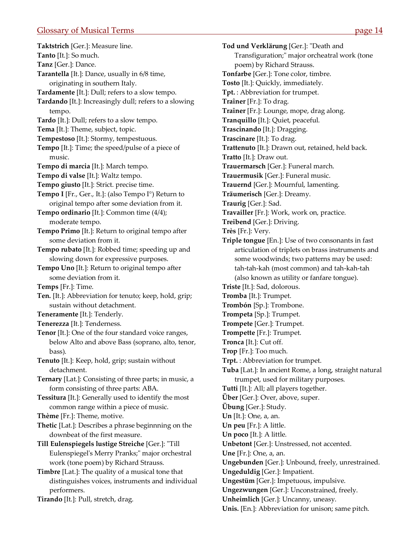<span id="page-14-0"></span>**Taktstrich** [Ger.]: Measure line. **Tanto** [It.]: So much. **Tanz** [Ger.]: Dance. **Tarantella** [It.]: Dance, usually in 6/8 time, originating in southern Italy. **Tardamente** [It.]: Dull; refers to a slow tempo. **Tardando** [It.]: Increasingly dull; refers to a slowing tempo. **Tardo** [It.]: Dull; refers to a slow tempo. **Tema** [It.]: Theme, subject, topic. **Tempestoso** [It.]: Stormy, tempestuous. **Tempo** [It.]: Time; the speed/pulse of a piece of music. **Tempo di marcia** [It.]: March tempo. **Tempo di valse** [It.]: Waltz tempo. **Tempo giusto** [It.]: Strict. precise time. **Tempo I** [Fr., Ger., It.]: (also Tempo I°) Return to original tempo after some deviation from it. **Tempo ordinario** [It.]: Common time (4/4); moderate tempo. **Tempo Primo** [It.]: Return to original tempo after some deviation from it. **Tempo rubato** [It.]: Robbed time; speeding up and slowing down for expressive purposes. **Tempo Uno** [It.]: Return to original tempo after some deviation from it. **Temps** [Fr.]: Time. **Ten.** [It.]: Abbreviation for tenuto; keep, hold, grip; sustain without detachment. **Teneramente** [It.]: Tenderly. **Tenerezza** [It.]: Tenderness. **Tenor** [It.]: One of the four standard voice ranges, below Alto and above Bass (soprano, alto, tenor, bass). **Tenuto** [It.]: Keep, hold, grip; sustain without detachment. **Ternary** [Lat.]: Consisting of three parts; in music, a form consisting of three parts: ABA. **Tessitura** [It.]: Generally used to identify the most common range within a piece of music. **Thème** [Fr.]: Theme, motive. **Thetic** [Lat.]: Describes a phrase beginnning on the downbeat of the first measure. **Till Eulenspiegels lustige Streiche** [Ger.]: ʺTill Eulenspiegel's Merry Pranks;" major orchestral work (tone poem) by Richard Strauss. **Timbre** [Lat.]: The quality of a musical tone that distinguishes voices, instruments and individual performers. **Tirando** [It.]: Pull, stretch, drag.

**Tod und Verklärung** [Ger.]: "Death and Transfiguration;" major orcheatral work (tone poem) by Richard Strauss. **Tonfarbe** [Ger.]: Tone color, timbre. **Tosto** [It.]: Quickly, immediately. **Tpt.** : Abbreviation for trumpet. **Traîner** [Fr.]: To drag. **Traîner** [Fr.]: Lounge, mope, drag along. **Tranquillo** [It.]: Quiet, peaceful. **Trascinando** [It.]: Dragging. **Trascinare** [It.]: To drag. **Trattenuto** [It.]: Drawn out, retained, held back. **Tratto** [It.]: Draw out. **Trauermarsch** [Ger.]: Funeral march. **Trauermusik** [Ger.]: Funeral music. **Trauernd** [Ger.]: Mournful, lamenting. **Träumerisch** [Ger.]: Dreamy. **Traurig** [Ger.]: Sad. **Travailler** [Fr.]: Work, work on, practice. **Treibend** [Ger.]: Driving. **Très** [Fr.]: Very. **Triple tongue** [En.]: Use of two consonants in fast articulation of triplets on brass instruments and some woodwinds; two patterns may be used: tah‐tah‐kah (most common) and tah‐kah‐tah (also known as utility or fanfare tongue). **Triste** [It.]: Sad, dolorous. **Tromba** [It.]: Trumpet. **Trombón** [Sp.]: Trombone. **Trompeta** [Sp.]: Trumpet. **Trompete** [Ger.]: Trumpet. **Trompette** [Fr.]: Trumpet. **Tronca** [It.]: Cut off. **Trop** [Fr.]: Too much. **Trpt.** : Abbreviation for trumpet. **Tuba** [Lat.]: In ancient Rome, a long, straight natural trumpet, used for military purposes. **Tutti** [It.]: All; all players together. **Über** [Ger.]: Over, above, super. **Übung** [Ger.]: Study. **Un** [It.]: One, a, an. **Un peu** [Fr.]: A little. **Un poco** [It.]: A little. **Unbetont** [Ger.]: Unstressed, not accented. **Une** [Fr.]: One, a, an. **Ungebunden** [Ger.]: Unbound, freely, unrestrained. **Ungeduldig** [Ger.]: Impatient. **Ungestüm** [Ger.]: Impetuous, impulsive. **Ungezwungen** [Ger.]: Unconstrained, freely. **Unheimlich** [Ger.]: Uncanny, uneasy. **Unis.** [En.]: Abbreviation for unison; same pitch.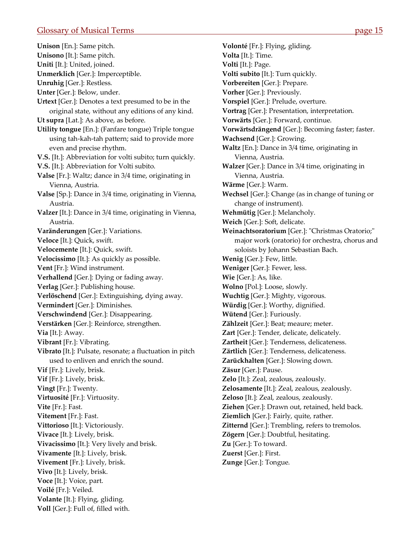<span id="page-15-0"></span>**Unison** [En.]: Same pitch. **Unisono** [It.]: Same pitch. **Uniti** [It.]: United, joined. **Unmerklich** [Ger.]: Imperceptible. **Unruhig** [Ger.]: Restless. **Unter** [Ger.]: Below, under. **Urtext** [Ger.]: Denotes a text presumed to be in the original state, without any editions of any kind. **Ut supra** [Lat.]: As above, as before. **Utility tongue** [En.]: (Fanfare tongue) Triple tongue using tah‐kah‐tah pattern; said to provide more even and precise rhythm. **V.S.** [It.]: Abbreviation for volti subito; turn quickly. **V.S.** [It.]: Abbreviation for Volti subito. **Valse** [Fr.]: Waltz; dance in 3/4 time, originating in Vienna, Austria. **Valse** [Sp.]: Dance in 3/4 time, originating in Vienna, Austria. **Valzer** [It.]: Dance in 3/4 time, originating in Vienna, Austria. **Varänderungen** [Ger.]: Variations. **Veloce** [It.]: Quick, swift. **Velocemente** [It.]: Quick, swift. **Velocissimo** [It.]: As quickly as possible. **Vent** [Fr.]: Wind instrument. **Verhallend** [Ger.]: Dying or fading away. **Verlag** [Ger.]: Publishing house. **Verlöschend** [Ger.]: Extinguishing, dying away. **Vermindert** [Ger.]: Diminishes. **Verschwindend** [Ger.]: Disappearing. **Verstärken** [Ger.]: Reinforce, strengthen. **Via** [It.]: Away. **Vibrant** [Fr.]: Vibrating. **Vibrato** [It.]: Pulsate, resonate; a fluctuation in pitch used to enliven and enrich the sound. **Vif** [Fr.]: Lively, brisk. **Vif** [Fr.]: Lively, brisk. **Vingt** [Fr.]: Twenty. **Virtuosité** [Fr.]: Virtuosity. **Vite** [Fr.]: Fast. **Vitement** [Fr.]: Fast. **Vittorioso** [It.]: Victoriously. **Vivace** [It.]: Lively, brisk. **Vivacissimo** [It.]: Very lively and brisk. **Vivamente** [It.]: Lively, brisk. **Vivement** [Fr.]: Lively, brisk. **Vivo** [It.]: Lively, brisk. **Voce** [It.]: Voice, part. **Voilé** [Fr.]: Veiled. **Volante** [It.]: Flying, gliding. **Voll** [Ger.]: Full of, filled with.

**Volonté** [Fr.]: Flying, gliding. **Volta** [It.]: Time. **Volti** [It.]: Page. **Volti subito** [It.]: Turn quickly. **Vorbereiten** [Ger.]: Prepare. **Vorher** [Ger.]: Previously. **Vorspiel** [Ger.]: Prelude, overture. **Vortrag** [Ger.]: Presentation, interpretation. **Vorwärts** [Ger.]: Forward, continue. **Vorwärtsdrängend** [Ger.]: Becoming faster; faster. **Wachsend** [Ger.]: Growing. **Waltz** [En.]: Dance in 3/4 time, originating in Vienna, Austria. **Walzer** [Ger.]: Dance in 3/4 time, originating in Vienna, Austria. **Wärme** [Ger.]: Warm. **Wechsel** [Ger.]: Change (as in change of tuning or change of instrument). **Wehmütig** [Ger.]: Melancholy. **Weich** [Ger.]: Soft, delicate. **Weinachtsoratorium** [Ger.]: "Christmas Oratorio;" major work (oratorio) for orchestra, chorus and soloists by Johann Sebastian Bach. **Wenig** [Ger.]: Few, little. **Weniger** [Ger.]: Fewer, less. **Wie** [Ger.]: As, like. **Wolno** [Pol.]: Loose, slowly. **Wuchtig** [Ger.]: Mighty, vigorous. **Würdig** [Ger.]: Worthy, dignified. **Wütend** [Ger.]: Furiously. **Zählzeit** [Ger.]: Beat; meaure; meter. **Zart** [Ger.]: Tender, delicate, delicately. **Zartheit** [Ger.]: Tenderness, delicateness. **Zärtlich** [Ger.]: Tenderness, delicateness. **Zarückhalten** [Ger.]: Slowing down. **Zäsur** [Ger.]: Pause. **Zelo** [It.]: Zeal, zealous, zealously. **Zelosamente** [It.]: Zeal, zealous, zealously. **Zeloso** [It.]: Zeal, zealous, zealously. **Ziehen** [Ger.]: Drawn out, retained, held back. **Ziemlich** [Ger.]: Fairly, quite, rather. **Zitternd** [Ger.]: Trembling, refers to tremolos. **Zögern** [Ger.]: Doubtful, hesitating. **Zu** [Ger.]: To toward. **Zuerst** [Ger.]: First. **Zunge** [Ger.]: Tongue.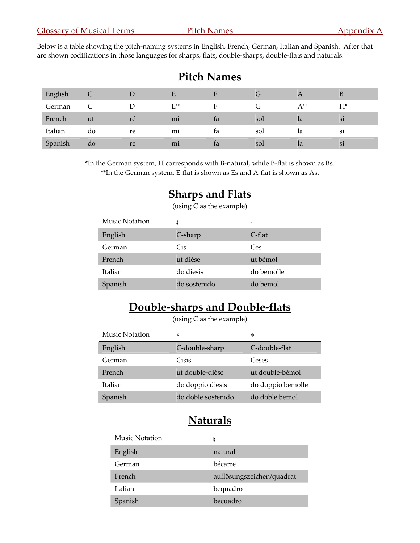<span id="page-16-0"></span>Below is a table showing the pitch-naming systems in English, French, German, Italian and Spanish. After that are shown codifications in those languages for sharps, flats, double‐sharps, double‐flats and naturals.

| Pitch Names |    |    |                |    |              |               |               |
|-------------|----|----|----------------|----|--------------|---------------|---------------|
| English     |    | D  | E              |    | $\mathbf{u}$ | A             | B             |
| German      |    |    | $E^{**}$       | Е  | G            | $A^{**}$      | $H^*$         |
| French      | ut | ré | m <sub>i</sub> | ta | sol          | <sub>la</sub> | si            |
| Italian     | do | re | m <sub>1</sub> | ta | sol          | 1a            | <sub>S1</sub> |
| Spanish     | do | re | m <sub>1</sub> | ta | sol          | 1a            | Si            |

**Pitch N** 

\*In the German system, H corresponds with B‐natural, while B‐flat is shown as Bs. \*\*In the German system, E‐flat is shown as Es and A‐flat is shown as As.

# **Sharps and Flats**

(using C as the example)

| <b>Music Notation</b> | Ħ            | b          |
|-----------------------|--------------|------------|
| English               | C-sharp      | C-flat     |
| German                | Cis          | Ces        |
| French                | ut dièse     | ut bémol   |
| Italian               | do diesis    | do bemolle |
| Spanish               | do sostenido | do bemol   |

# **Double‐sharps and Double‐flats**

(using C as the example)

| <b>Music Notation</b> | ×                  | bb                |
|-----------------------|--------------------|-------------------|
| English               | C-double-sharp     | C-double-flat     |
| German                | Cisis              | Ceses             |
| French                | ut double-dièse    | ut double-bémol   |
| Italian               | do doppio diesis   | do doppio bemolle |
| Spanish               | do doble sostenido | do doble bemol    |

# **Naturals**

| Music Notation | h                         |
|----------------|---------------------------|
| English        | natural                   |
| German         | bécarre                   |
| French         | auflösungszeichen/quadrat |
| Italian        | bequadro                  |
| Spanish        | becuadro                  |